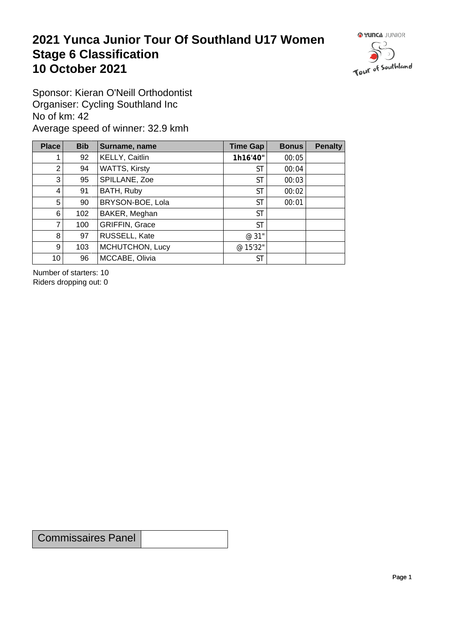## **2021 Yunca Junior Tour Of Southland U17 Women** Stage 6 Classification<br>10 October 2021 **10 October 2021**



Sponsor: Kieran O'Neill Orthodontist Organiser: Cycling Southland Inc No of km: 42 Average speed of winner: 32.9 kmh

| Place           | <b>Bib</b> | Surname, name         | Time Gap  | <b>Bonus</b> | <b>Penalty</b> |
|-----------------|------------|-----------------------|-----------|--------------|----------------|
|                 | 92         | KELLY, Caitlin        | 1h16'40"  | 00:05        |                |
| 2 <sub>1</sub>  | 94         | <b>WATTS, Kirsty</b>  | <b>ST</b> | 00:04        |                |
| 3 <sup>1</sup>  | 95         | SPILLANE, Zoe         | <b>ST</b> | 00:03        |                |
| $\vert 4 \vert$ | 91         | BATH, Ruby            | <b>ST</b> | 00:02        |                |
| 5 <sup>1</sup>  | 90         | BRYSON-BOE, Lola      | <b>ST</b> | 00:01        |                |
| 6               | 102        | BAKER, Meghan         | <b>ST</b> |              |                |
| $\overline{7}$  | 100        | <b>GRIFFIN, Grace</b> | <b>ST</b> |              |                |
| 8               | 97         | RUSSELL, Kate         | @ 31"     |              |                |
| 9 <sup>°</sup>  | 103        | MCHUTCHON, Lucy       | @ 15'32"  |              |                |
| 10 <sup>1</sup> | 96         | MCCABE, Olivia        | <b>ST</b> |              |                |

Number of starters: 10 Riders dropping out: 0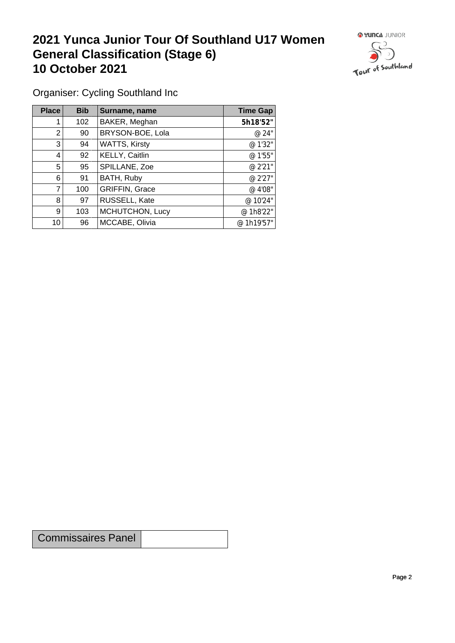## **2021 Yunca Junior Tour Of Southland U17 Women General Classification (Stage 6)**<br>10 October 2021 **10 October 2021**



Organiser: Cycling Southland Inc

| Place | <b>Bib</b> | Surname, name         | <b>Time Gap</b> |
|-------|------------|-----------------------|-----------------|
|       | 102        | BAKER, Meghan         | 5h18'52"        |
| 2     | 90         | BRYSON-BOE, Lola      | @ 24"           |
| 3     | 94         | <b>WATTS, Kirsty</b>  | @ 1'32"         |
| 4     | 92         | KELLY, Caitlin        | @ 1'55"         |
| 5     | 95         | SPILLANE, Zoe         | @ 2'21"         |
| 6     | 91         | BATH, Ruby            | @ 2'27"         |
| 7     | 100        | <b>GRIFFIN, Grace</b> | @ 4'08"         |
| 8     | 97         | RUSSELL, Kate         | @ 10'24"        |
| 9     | 103        | MCHUTCHON, Lucy       | @ 1h8'22"       |
| 10    | 96         | MCCABE, Olivia        | @ 1h19'57"      |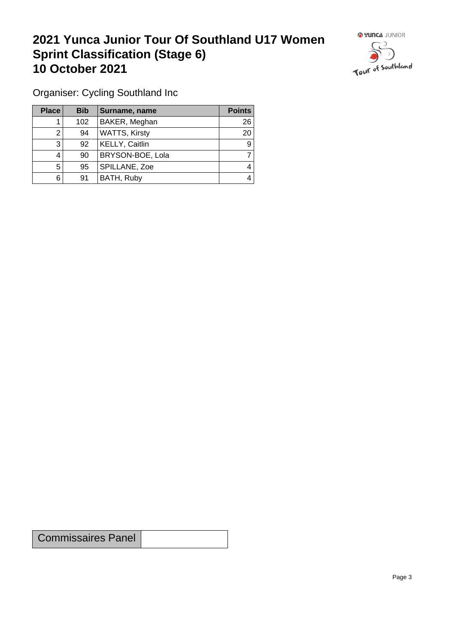## **2021 Yunca Junior Tour Of Southland U17 Women Sprint Classification (Stage 6) 10 October 2021 10 October 2021**



Organiser: Cycling Southland Inc

| <b>Place</b> | <b>Bib</b> | Surname, name        | <b>Points</b> |
|--------------|------------|----------------------|---------------|
|              | 102        | BAKER, Meghan        | 26            |
|              | 94         | <b>WATTS, Kirsty</b> | 20            |
| 3            | 92         | KELLY, Caitlin       | 9             |
| 4            | 90         | BRYSON-BOE, Lola     |               |
| 5            | 95         | SPILLANE, Zoe        | 4             |
| 6            | 91         | BATH, Ruby           | 4             |